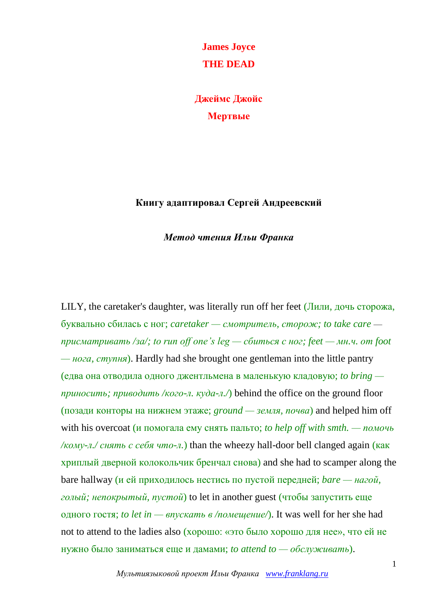**James Joyce THE DEAD**

**Джеймс Джойс Мертвые**

## **Книгу адаптировал Сергей Андреевский**

## *Метод чтения Ильи Франка*

LILY, the caretaker's daughter, was literally run off her feet (Лили, дочь сторожа, буквально сбилась с ног; *caretaker — смотритель, сторож; to take care присматривать /за/; to run off one's leg — сбиться с ног; feet — мн.ч. от foot — нога, ступня*). Hardly had she brought one gentleman into the little pantry (едва она отводила одного джентльмена в маленькую кладовую; *to bring приносить; приводить /кого-л. куда-л./*) behind the office on the ground floor (позади конторы на нижнем этаже; *ground — земля, почва*) and helped him off with his overcoat (и помогала ему снять пальто; *to help off with smth. — помочь /кому-л./ снять с себя что-л.*) than the wheezy hall-door bell clanged again (как хриплый дверной колокольчик бренчал снова) and she had to scamper along the bare hallway (и ей приходилось нестись по пустой передней; *bare — нагой, голый; непокрытый, пустой*) to let in another guest (чтобы запустить еще одного гостя; *to let in — впускать в /помещение/*). It was well for her she had not to attend to the ladies also (хорошо: «это было хорошо для нее», что ей не нужно было заниматься еще и дамами; *to attend to — обслуживать*).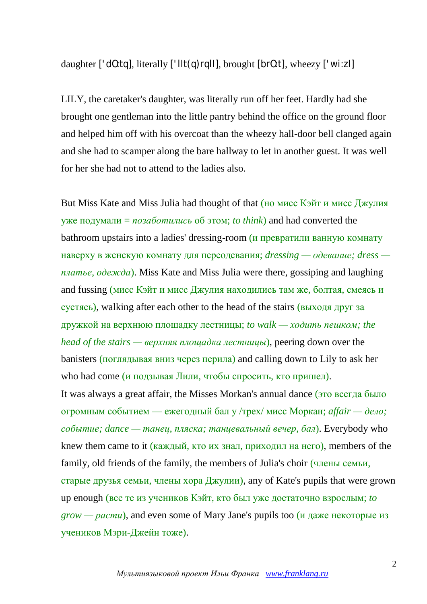daughter  $[{}^{\prime}$  d0:tq], literally  $[{}^{\prime}$  llt(q)rqll], brought  $[br0:t]$ , wheezy  $[{}^{\prime}$  wi:zl]

LILY, the caretaker's daughter, was literally run off her feet. Hardly had she brought one gentleman into the little pantry behind the office on the ground floor and helped him off with his overcoat than the wheezy hall-door bell clanged again and she had to scamper along the bare hallway to let in another guest. It was well for her she had not to attend to the ladies also.

But Miss Kate and Miss Julia had thought of that (но мисс Кэйт и мисс Джулия уже подумали = *позаботились* об этом; *to think*) and had converted the bathroom upstairs into a ladies' dressing-room (и превратили ванную комнату наверху в женскую комнату для переодевания; *dressing — одевание; dress платье, одежда*). Miss Kate and Miss Julia were there, gossiping and laughing and fussing (мисс Кэйт и мисс Джулия находились там же, болтая, смеясь и суетясь), walking after each other to the head of the stairs (выходя друг за дружкой на верхнюю площадку лестницы; *to walk — ходить пешком; the head of the stairs — верхняя площадка лестницы*), peering down over the banisters (поглядывая вниз через перила) and calling down to Lily to ask her who had come (и подзывая Лили, чтобы спросить, кто пришел). It was always a great affair, the Misses Morkan's annual dance (это всегда было огромным событием — ежегодный бал у /трех/ мисс Моркан; *affair — дело; событие; dance — танец, пляска; танцевальный вечер, бал*). Everybody who knew them came to it (каждый, кто их знал, приходил на него), members of the family, old friends of the family, the members of Julia's choir (члены семьи, старые друзья семьи, члены хора Джулии), any of Kate's pupils that were grown up enough (все те из учеников Кэйт, кто был уже достаточно взрослым; *to grow — расти*), and even some of Mary Jane's pupils too (и даже некоторые из учеников Мэри-Джейн тоже).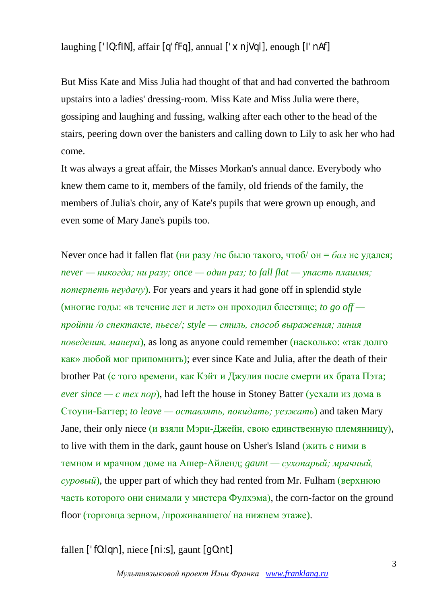laughing  $[$ 'lQ:flN], affair  $[q'ffq]$ , annual  $[$ ' $\times$ n $|Vq|]$ , enough  $[$ l' $n$ Af]

But Miss Kate and Miss Julia had thought of that and had converted the bathroom upstairs into a ladies' dressing-room. Miss Kate and Miss Julia were there, gossiping and laughing and fussing, walking after each other to the head of the stairs, peering down over the banisters and calling down to Lily to ask her who had come.

It was always a great affair, the Misses Morkan's annual dance. Everybody who knew them came to it, members of the family, old friends of the family, the members of Julia's choir, any of Kate's pupils that were grown up enough, and even some of Mary Jane's pupils too.

Never once had it fallen flat (ни разу /не было такого, чтоб/ он = *бал* не удался; *never — никогда; ни разу; once — один раз; to fall flat — упасть плашмя; потерпеть неудачу*). For years and years it had gone off in splendid style (многие годы: «в течение лет и лет» он проходил блестяще; *to go off пройти /о спектакле, пьесе/; style — стиль, способ выражения; линия поведения, манера*), as long as anyone could remember (насколько: «так долго как» любой мог припомнить); ever since Kate and Julia, after the death of their brother Pat (с того времени, как Кэйт и Джулия после смерти их брата Пэта;  $$ Стоуни-Баттер; *to leave — оставлять, покидать; уезжать*) and taken Mary Jane, their only niece (и взяли Мэри-Джейн, свою единственную племянницу), to live with them in the dark, gaunt house on Usher's Island (жить с ними в темном и мрачном доме на Ашер-Айленд; *gaunt — сухопарый; мрачный, суровый*), the upper part of which they had rented from Mr. Fulham (верхнюю часть которого они снимали у мистера  $\Phi$ улхэма), the corn-factor on the ground floor (торговца зерном, /проживавшего/ на нижнем этаже).

fallen ['fO:lqn], niece [ni:s], gaunt [gO:nt]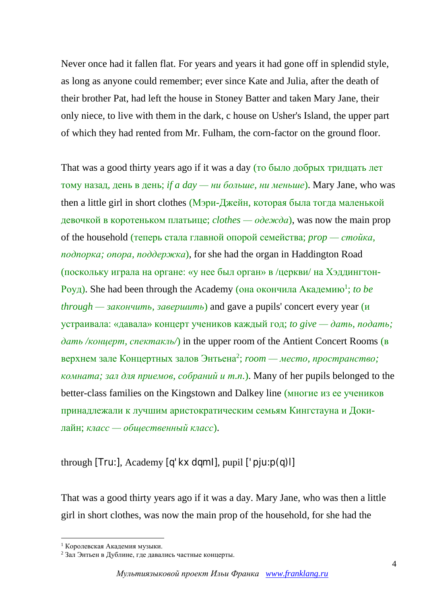Never once had it fallen flat. For years and years it had gone off in splendid style, as long as anyone could remember; ever since Kate and Julia, after the death of their brother Pat, had left the house in Stoney Batter and taken Mary Jane, their only niece, to live with them in the dark, c house on Usher's Island, the upper part of which they had rented from Mr. Fulham, the corn-factor on the ground floor.

That was a good thirty years ago if it was a day (то было добрых тридцать лет тому назад, день в день; *if a day — ни больше, ни меньше*). Mary Jane, who was then a little girl in short clothes (Мэри-Джейн, которая была тогда маленькой девочкой в коротеньком платьице; *clothes — одежда*), was now the main prop of the household (теперь стала главной опорой семейства; *prop — стойка, подпорка; опора, поддержка*), for she had the organ in Haddington Road (поскольку играла на органе: «у нее был орган» в /церкви/ на Хэддингтон-Роуд). She had been through the Academy (она окончила Академию<sup>1</sup> ; *to be through — закончить, завершить*) and gave a pupils' concert every year (и устраивала: «давала» концерт учеников каждый год; *to give — дать, подать; дать /концерт, спектакль/*) in the upper room of the Antient Concert Rooms (в верхнем зале Концертных залов Энтьена 2 ; *room — место, пространство; комната; зал для приемов, собраний и т.п.*). Many of her pupils belonged to the better-class families on the Kingstown and Dalkey line (многие из ее учеников принадлежали к лучшим аристократическим семьям Кингстауна и Докилайн; *класс — общественный класс*).

through  $[Tru$ :], Academy  $[q'k \times dqm]$ , pupil  $['pi:v(q)]$ 

That was a good thirty years ago if it was a day. Mary Jane, who was then a little girl in short clothes, was now the main prop of the household, for she had the

1

 $1$  Королевская Акалемия музыки.

<sup>2</sup> Зал Энтьен в Дублине, где давались частные концерты.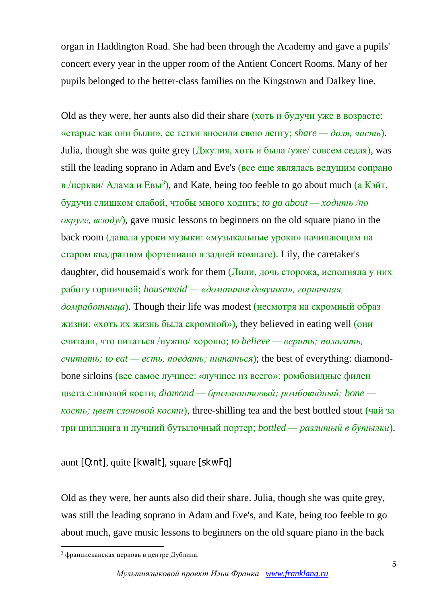organ in Haddington Road. She had been through the Academy and gave a pupils' concert every year in the upper room of the Antient Concert Rooms. Many of her pupils belonged to the better-class families on the Kingstown and Dalkey line.

Old as they were, her aunts also did their share (хоть и будучи уже в возрасте: «старые как они были», ее тетки вносили свою лепту; *share — доля, часть*). Julia, though she was quite grey (Джулия, хоть и была /уже/ совсем седая), was still the leading soprano in Adam and Eve's (все еще являлась ведущим сопрано в /церкви/ Адама и Евы<sup>3</sup>), and Kate, being too feeble to go about much (а Кэйт, будучи слишком слабой, чтобы много ходить; *to go about — ходить /по округе, всюду/*), gave music lessons to beginners on the old square piano in the back room (давала уроки музыки: «музыкальные уроки» начинающим на старом квадратном фортепиано в задней комнате). Lily, the caretaker's daughter, did housemaid's work for them (Лили, дочь сторожа, исполняла у них работу горничной; *housemaid — «домашняя девушка», горничная, домработница*). Though their life was modest (несмотря на скромный образ жизни: «хоть их жизнь была скромной»), they believed in eating well (они считали, что питаться /нужно/ хорошо; *to believe — верить; полагать, считать; to eat — есть, поедать; питаться*); the best of everything: diamondbone sirloins (все самое лучшее: «лучшее из всего»: ромбовидные филеи цвета слоновой кости; *diamond — бриллиантовый; ромбовидный; bone кость; цвет слоновой кости*), three-shilling tea and the best bottled stout (чай за три шиллинга и лучший бутылочный портер; *bottled — разлитый в бутылки*).

aunt [Q:nt], quite [kwaIt], square [skwFq]

Old as they were, her aunts also did their share. Julia, though she was quite grey, was still the leading soprano in Adam and Eve's, and Kate, being too feeble to go about much, gave music lessons to beginners on the old square piano in the back

1

<sup>3</sup> францисканская церковь в центре Дублина.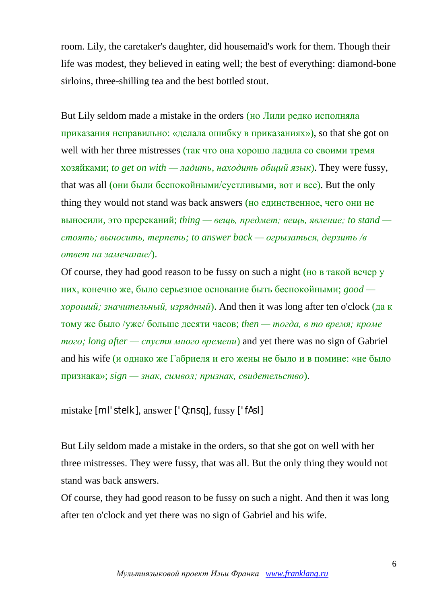room. Lily, the caretaker's daughter, did housemaid's work for them. Though their life was modest, they believed in eating well; the best of everything: diamond-bone sirloins, three-shilling tea and the best bottled stout.

But Lily seldom made a mistake in the orders (но Лили редко исполняла приказания неправильно: «делала ошибку в приказаниях»), so that she got on well with her three mistresses (так что она хорошо ладила со своими тремя хозяйками; *to get on with — ладить, находить общий язык*). They were fussy, that was all (они были беспокойными/суетливыми, вот и все). But the only thing they would not stand was back answers (но единственное, чего они не выносили, это пререканий; *thing — вещь, предмет; вещь, явление; to stand стоять; выносить, терпеть; to answer back — огрызаться, дерзить /в ответ на замечание/*).

Of course, they had good reason to be fussy on such a night (но в такой вечер у них, конечно же, было серьезное основание быть беспокойными; *good хороший; значительный, изрядный*). And then it was long after ten o'clock (да к тому же было /уже/ больше десяти часов; *then — тогда, в то время; кроме того; long after — спустя много времени*) and yet there was no sign of Gabriel and his wife (и однако же Габриеля и его жены не было и в помине: «не было признака»; *sign — знак, символ; признак, свидетельство*).

```
mistake [mI'steIk], answer ['Q:nsq], fussy ['fAsI]
```
But Lily seldom made a mistake in the orders, so that she got on well with her three mistresses. They were fussy, that was all. But the only thing they would not stand was back answers.

Of course, they had good reason to be fussy on such a night. And then it was long after ten o'clock and yet there was no sign of Gabriel and his wife.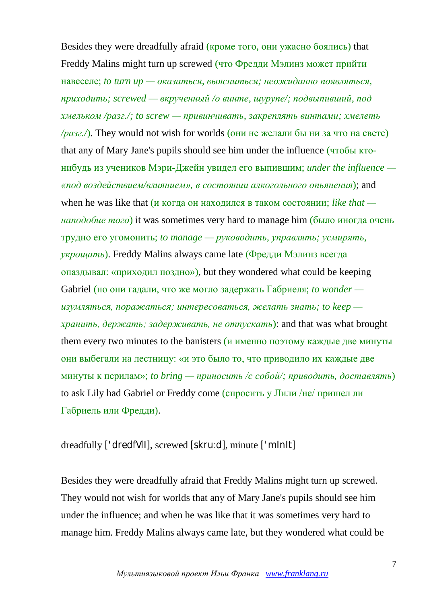Besides they were dreadfully afraid (кроме того, они ужасно боялись) that Freddy Malins might turn up screwed (что Фредди Мэлинз может прийти навеселе; *to turn up — оказаться, выясниться; неожиданно появляться, приходить; screwed — вкрученный /о винте, шурупе/; подвыпивший, под хмельком /разг./; to screw — привинчивать, закреплять винтами; хмелеть /разг./*). They would not wish for worlds (они не желали бы ни за что на свете) that any of Mary Jane's pupils should see him under the influence (чтобы ктонибудь из учеников Мэри-Джейн увидел его выпившим; *under the influence — «под воздействием/влиянием», в состоянии алкогольного опьянения*); and when he was like that (и когда он находился в таком состоянии; *like that наподобие того*) it was sometimes very hard to manage him (было иногда очень трудно его угомонить; *to manage — руководить, управлять; усмирять, укрощать*). Freddy Malins always came late (Фредди Мэлинз всегда опаздывал: «приходил поздно»), but they wondered what could be keeping Gabriel (но они гадали, что же могло задержать Габриеля; *to wonder изумляться, поражаться; интересоваться, желать знать; to keep хранить, держать; задерживать, не отпускать*): and that was what brought them every two minutes to the banisters (и именно поэтому каждые две минуты они выбегали на лестницу: «и это было то, что приводило их каждые две минуты к перилам»; *to bring — приносить /с собой/; приводить, доставлять*) to ask Lily had Gabriel or Freddy come (спросить у Лили /не/ пришел ли Габриель или Фредди).

## dreadfully ['dredfVlI], screwed [skru:d], minute ['mInIt]

Besides they were dreadfully afraid that Freddy Malins might turn up screwed. They would not wish for worlds that any of Mary Jane's pupils should see him under the influence; and when he was like that it was sometimes very hard to manage him. Freddy Malins always came late, but they wondered what could be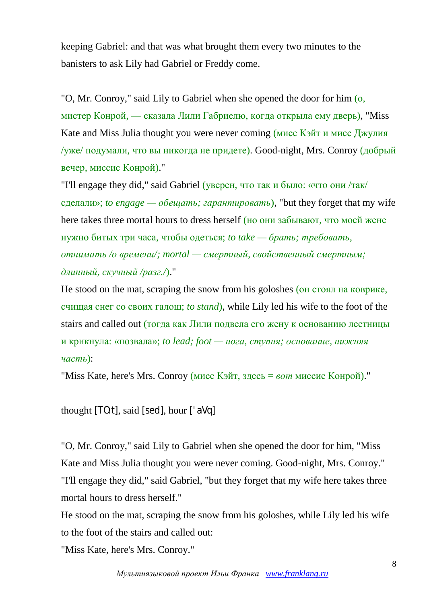keeping Gabriel: and that was what brought them every two minutes to the banisters to ask Lily had Gabriel or Freddy come.

"O, Mr. Conroy," said Lily to Gabriel when she opened the door for him (о, мистер Конрой, — сказала Лили Габриелю, когда открыла ему дверь), "Miss Kate and Miss Julia thought you were never coming (мисс Кэйт и мисс Джулия /уже/ подумали, что вы никогда не придете). Good-night, Mrs. Conroy (добрый вечер, миссис Конрой)."

"I'll engage they did," said Gabriel (уверен, что так и было: «что они /так/ сделали»; *to engage — обещать; гарантировать*), "but they forget that my wife here takes three mortal hours to dress herself (но они забывают, что моей жене нужно битых три часа, чтобы одеться; *to take — брать; требовать, отнимать /о времени/; mortal — смертный, свойственный смертным; длинный, скучный /разг./*)."

He stood on the mat, scraping the snow from his goloshes (он стоял на коврике, счищая снег со своих галош; *to stand*), while Lily led his wife to the foot of the stairs and called out (тогда как Лили подвела его жену к основанию лестницы и крикнула: «позвала»; *to lead; foot — нога, ступня; основание, нижняя часть*):

"Miss Kate, here's Mrs. Conroy (мисс Кэйт, здесь = *вот* миссис Конрой)."

thought [TO:t], said [sed], hour ['aVq]

"O, Mr. Conroy," said Lily to Gabriel when she opened the door for him, "Miss Kate and Miss Julia thought you were never coming. Good-night, Mrs. Conroy." "I'll engage they did," said Gabriel, "but they forget that my wife here takes three mortal hours to dress herself."

He stood on the mat, scraping the snow from his goloshes, while Lily led his wife to the foot of the stairs and called out:

"Miss Kate, here's Mrs. Conroy."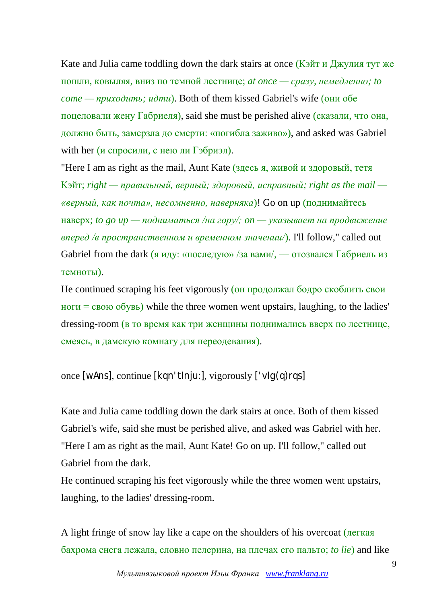Kate and Julia came toddling down the dark stairs at once (Кэйт и Джулия тут же пошли, ковыляя, вниз по темной лестнице; *at once — сразу, немедленно; to come — приходить; идти*). Both of them kissed Gabriel's wife (они обе поцеловали жену Габриеля), said she must be perished alive (сказали, что она, должно быть, замерзла до смерти: «погибла заживо»), and asked was Gabriel with her (*и* спросили, с нею ли Гэбриэл).

"Here I am as right as the mail, Aunt Kate (здесь я, живой и здоровый, тетя Кэйт; *right — правильный, верный; здоровый, исправный; right as the mail — «верный, как почта», несомненно, наверняка*)! Go on up (поднимайтесь наверх; *to go up — подниматься /на гору/; on — указывает на продвижение вперед /в пространственном и временном значении/*). I'll follow," called out Gabriel from the dark (я иду: «последую» /за вами/, — отозвался Габриель из темноты).

He continued scraping his feet vigorously (он продолжал бодро скоблить свои <u>ноги</u> =  $\cos\theta$  обувь) while the three women went upstairs, laughing, to the ladies' dressing-room (в то время как три женщины поднимались вверх по лестнице, смеясь, в дамскую комнату для переодевания).

once [wAns], continue [kqn'tInju:], vigorously ['vIg(q)rqs]

Kate and Julia came toddling down the dark stairs at once. Both of them kissed Gabriel's wife, said she must be perished alive, and asked was Gabriel with her. "Here I am as right as the mail, Aunt Kate! Go on up. I'll follow," called out Gabriel from the dark.

He continued scraping his feet vigorously while the three women went upstairs, laughing, to the ladies' dressing-room.

A light fringe of snow lay like a cape on the shoulders of his overcoat (легкая бахрома снега лежала, словно пелерина, на плечах его пальто; *to lie*) and like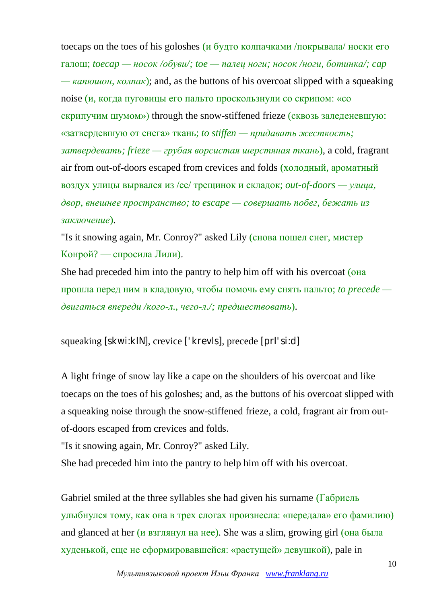toecaps on the toes of his goloshes (и будто колпачками /покрывала/ носки его галош; *toecap — носок /обуви/; toe — палец ноги; носок /ноги, ботинка/; cap — капюшон, колпак*); and, as the buttons of his overcoat slipped with a squeaking noise (и, когда пуговицы его пальто проскользнули со скрипом: «со скрипучим шумом») through the snow-stiffened frieze (сквозь заледеневшую: «затвердевшую от снега» ткань; *to stiffen — придавать жесткость; затвердевать; frieze — грубая ворсистая шерстяная ткань*), a cold, fragrant air from out-of-doors escaped from crevices and folds (холодный, ароматный воздух улицы вырвался из /ее/ трещинок и складок; *out-of-doors — улица, двор, внешнее пространство; to escape — совершать побег, бежать из заключение*).

"Is it snowing again, Mr. Conroy?" asked Lily (снова пошел снег, мистер Конрой? — спросила Лили).

She had preceded him into the pantry to help him off with his overcoat (она прошла перед ним в кладовую, чтобы помочь ему снять пальто; *to precede двигаться впереди /кого-л., чего-л./; предшествовать*).

squeaking [skwi:kIN], crevice ['krevIs], precede [prI'si:d]

A light fringe of snow lay like a cape on the shoulders of his overcoat and like toecaps on the toes of his goloshes; and, as the buttons of his overcoat slipped with a squeaking noise through the snow-stiffened frieze, a cold, fragrant air from outof-doors escaped from crevices and folds.

"Is it snowing again, Mr. Conroy?" asked Lily.

She had preceded him into the pantry to help him off with his overcoat.

Gabriel smiled at the three syllables she had given his surname (Габриель улыбнулся тому, как она в трех слогах произнесла: «передала» его фамилию) and glanced at her (и взглянул на нее). She was a slim, growing girl (она была худенькой, еще не сформировавшейся: «растущей» девушкой), pale in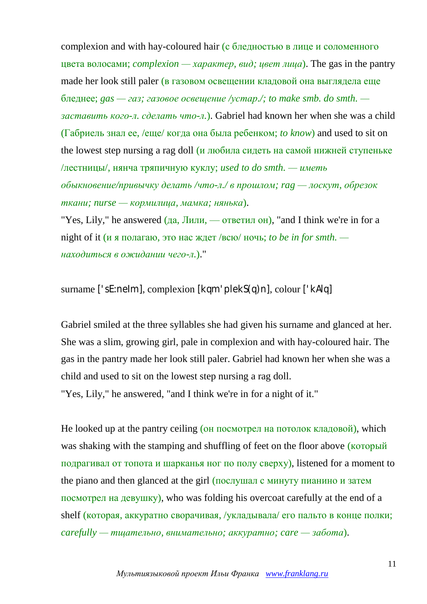complexion and with hay-coloured hair (с бледностью в лице и соломенного цвета волосами; *complexion — характер, вид; цвет лица*). The gas in the pantry made her look still paler (в газовом освещении кладовой она выглядела еще бледнее; *gas — газ; газовое освещение /устар./; to make smb. do smth. заставить кого-л. сделать что-л.*). Gabriel had known her when she was a child (Габриель знал ее, /еще/ когда она была ребенком; *to know*) and used to sit on the lowest step nursing a rag doll (и любила сидеть на самой нижней ступеньке /лестницы/, нянча тряпичную куклу; *used to do smth. — иметь обыкновение/привычку делать /что-л./ в прошлом; rag — лоскут, обрезок ткани; nurse — кормилица, мамка; нянька*).

"Yes, Lily," he answered  $(\overline{a}a, \overline{J}m\overline{m}m, \overline{a}m)$  and I think we're in for a night of it (и я полагаю, это нас ждет /всю/ ночь; *to be in for smth. находиться в ожидании чего-л.*)."

surname ['sE:neIm], complexion [kqm'plekS(q)n], colour ['kAlq]

Gabriel smiled at the three syllables she had given his surname and glanced at her. She was a slim, growing girl, pale in complexion and with hay-coloured hair. The gas in the pantry made her look still paler. Gabriel had known her when she was a child and used to sit on the lowest step nursing a rag doll. "Yes, Lily," he answered, "and I think we're in for a night of it."

He looked up at the pantry ceiling (он посмотрел на потолок кладовой), which was shaking with the stamping and shuffling of feet on the floor above (который подрагивал от топота и шарканья ног по полу сверху), listened for a moment to the piano and then glanced at the girl (послушал с минуту пианино и затем посмотрел на девушку), who was folding his overcoat carefully at the end of a shelf (которая, аккуратно сворачивая, /укладывала/ его пальто в конце полки; *carefully — тщательно, внимательно; аккуратно; care — забота*).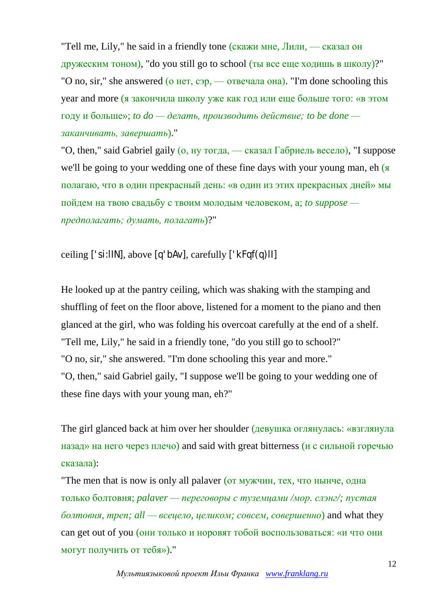"Tell me, Lily," he said in a friendly tone (скажи мне, Лили, — сказал он дружеским тоном), "do you still go to school (ты все еще ходишь в школу)?" "O no, sir," she answered (о нет, сэр, — отвечала она). "I'm done schooling this year and more (я закончила школу уже как год или еще больше того: «в этом году и больше»; *to*  $do$  —  $de$  *делать, производить действие; to be done заканчивать, завершать*)."

"O, then," said Gabriel gaily (о, ну тогда, — сказал Габриель весело), "I suppose we'll be going to your wedding one of these fine days with your young man, eh ( полагаю, что в один прекрасный день: «в один из этих прекрасных дней» мы пойдем на твою свадьбу с твоим молодым человеком, а; *to suppose предполагать; думать, полагать*)?"

ceiling ['si:lIN], above [q'bAv], carefully ['kFqf(q)lI]

He looked up at the pantry ceiling, which was shaking with the stamping and shuffling of feet on the floor above, listened for a moment to the piano and then glanced at the girl, who was folding his overcoat carefully at the end of a shelf. "Tell me, Lily," he said in a friendly tone, "do you still go to school?" "O no, sir," she answered. "I'm done schooling this year and more." "O, then," said Gabriel gaily, "I suppose we'll be going to your wedding one of these fine days with your young man, eh?"

The girl glanced back at him over her shoulder (девушка оглянулась: «взглянула назад» на него через плечо) and said with great bitterness (и с сильной горечью сказала):

"The men that is now is only all palaver (от мужчин, тех, что нынче, одна только болтовня; *palaver — переговоры с туземцами /мор. слэнг/; пустая болтовня, треп; all — всецело, целиком; совсем, совершенно*) and what they can get out of you (они только и норовят тобой воспользоваться: «и что они могут получить от тебя»)."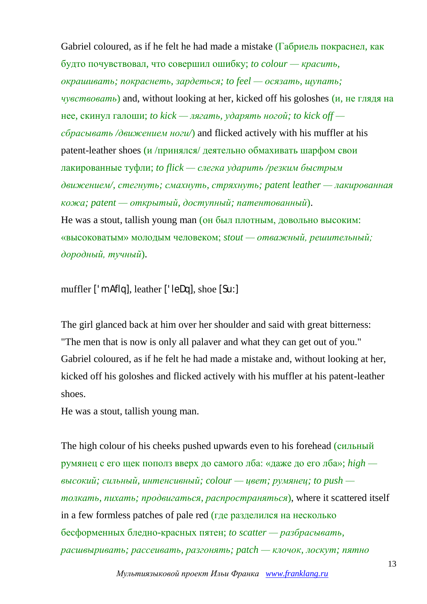Gabriel coloured, as if he felt he had made a mistake (Габриель покраснел, как будто почувствовал, что совершил ошибку; *to colour — красить, окрашивать; покраснеть, зардеться; to feel — осязать, щупать; чувствовать*) and, without looking at her, kicked off his goloshes (и, не глядя на нее, скинул галоши; *to kick — лягать, ударять ногой; to kick off сбрасывать /движением ноги/*) and flicked actively with his muffler at his patent-leather shoes (и /принялся/ деятельно обмахивать шарфом свои лакированные туфли; *to flick — слегка ударить /резким быстрым движением/, стегнуть; смахнуть, стряхнуть; patent leather — лакированная кожа; patent — открытый, доступный; патентованный*). He was a stout, tallish young man (он был плотным, довольно высоким: «высоковатым» молодым человеком; *stout — отважный, решительный; дородный, тучный*).

muffler ['mAflq], leather ['leDq], shoe [Su:]

The girl glanced back at him over her shoulder and said with great bitterness: "The men that is now is only all palaver and what they can get out of you." Gabriel coloured, as if he felt he had made a mistake and, without looking at her, kicked off his goloshes and flicked actively with his muffler at his patent-leather shoes.

He was a stout, tallish young man.

The high colour of his cheeks pushed upwards even to his forehead (сильный румянец с его щек пополз вверх до самого лба: «даже до его лба»; *high высокий; сильный, интенсивный; colour — цвет; румянец; to push толкать, пихать; продвигаться, распространяться*), where it scattered itself in a few formless patches of pale red (где разделился на несколько бесформенных бледно-красных пятен; *to scatter — разбрасывать, расшвыривать; рассеивать, разгонять; patch — клочок, лоскут; пятно*

*Мультиязыковой проект Ильи Франка [www.franklang.ru](http://www.franklang.ru/)*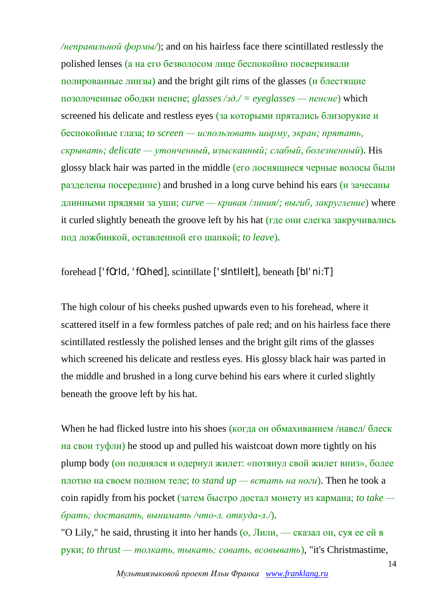*/неправильной формы/*); and on his hairless face there scintillated restlessly the polished lenses (а на его безволосом лице беспокойно посверкивали полированные линзы) and the bright gilt rims of the glasses (и блестящие позолоченные ободки пенсне; *glasses /зд./ = eyeglasses — пенсне*) which screened his delicate and restless eyes (за которыми прятались близорукие и беспокойные глаза; *to screen — использовать ширму, экран; прятать, скрывать; delicate — утонченный, изысканный; слабый, болезненный*). His glossy black hair was parted in the middle (его лоснящиеся черные волосы были разделены посередине) and brushed in a long curve behind his ears (и зачесаны длинными прядями за уши; *curve — кривая /линия/; выгиб, закругление*) where it curled slightly beneath the groove left by his hat (где они слегка закручивались под ложбинкой, оставленной его шапкой; *to leave*).

forehead ['fOrId, 'fO:hed], scintillate ['sIntIleIt], beneath [bI'ni:T]

The high colour of his cheeks pushed upwards even to his forehead, where it scattered itself in a few formless patches of pale red; and on his hairless face there scintillated restlessly the polished lenses and the bright gilt rims of the glasses which screened his delicate and restless eyes. His glossy black hair was parted in the middle and brushed in a long curve behind his ears where it curled slightly beneath the groove left by his hat.

When he had flicked lustre into his shoes (когда он обмахиванием /навел/ блеск на свои туфли) he stood up and pulled his waistcoat down more tightly on his plump body (он поднялся и одернул жилет: «потянул свой жилет вниз», более плотно на своем полном теле; *to stand up — встать на ноги*). Then he took a coin rapidly from his pocket (затем быстро достал монету из кармана; *to take брать; доставать, вынимать /что-л. откуда-л./*).

"O Lily," he said, thrusting it into her hands (о, Лили, — сказал он, суя ее ей в руки; *to thrust — толкать, тыкать; совать, всовывать*), "it's Christmastime,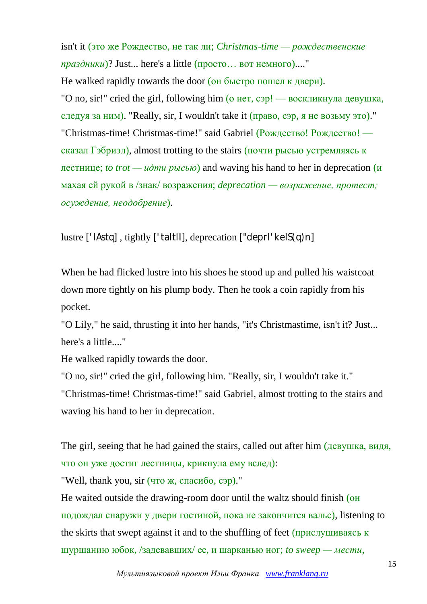isn't it (это же Рождество, не так ли; *Christmas-time — рождественские праздники*)? Just... here's a little (просто… вот немного)...."

He walked rapidly towards the door (он быстро пошел к двери). "O no, sir!" cried the girl, following him (о нет, сэр! — воскликнула девушка, следуя за ним). "Really, sir, I wouldn't take it  $(\text{npaso}, \text{cap}, \text{a} \text{ he } \text{bos} \text{MV} \text{ or } \text{or}).$ " "Christmas-time! Christmas-time!" said Gabriel (Рождество! Рождество! сказал Гэбриэл), almost trotting to the stairs (почти рысью устремляясь к лестнице; *to trot — идти рысью*) and waving his hand to her in deprecation (и махая ей рукой в /знак/ возражения; *deprecation — возражение, протест; осуждение, неодобрение*).

lustre ['lAstq] , tightly ['taItlI], deprecation ["deprI'keIS(q)n]

When he had flicked lustre into his shoes he stood up and pulled his waistcoat down more tightly on his plump body. Then he took a coin rapidly from his pocket.

"O Lily," he said, thrusting it into her hands, "it's Christmastime, isn't it? Just... here's a little...."

He walked rapidly towards the door.

"O no, sir!" cried the girl, following him. "Really, sir, I wouldn't take it." "Christmas-time! Christmas-time!" said Gabriel, almost trotting to the stairs and waving his hand to her in deprecation.

The girl, seeing that he had gained the stairs, called out after him (девушка, видя, что он уже достиг лестницы, крикнула ему вслед):

"Well, thank you, sir (что ж, спасибо, сэр)."

He waited outside the drawing-room door until the waltz should finish (он подождал снаружи у двери гостиной, пока не закончится вальс), listening to the skirts that swept against it and to the shuffling of feet (прислушиваясь к шуршанию юбок, /задевавших/ ее, и шарканью ног; *to sweep — мести,*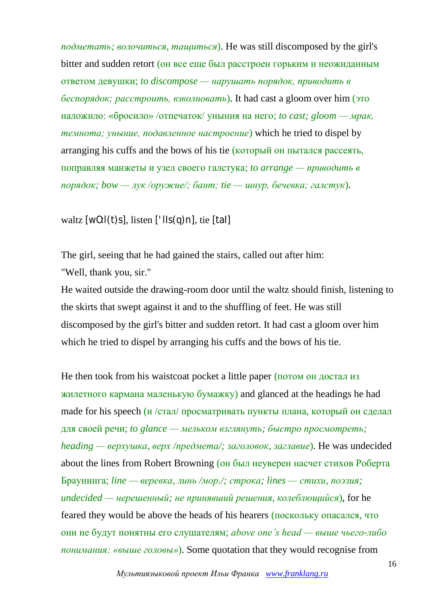*подметать; волочиться, тащиться*). He was still discomposed by the girl's bitter and sudden retort (он все еще был расстроен горьким и неожиданным ответом девушки; *to discompose — нарушать порядок, приводить в беспорядок; расстроить, взволновать*). It had cast a gloom over him (это наложило: «бросило» /отпечаток/ уныния на него; *to cast; gloom — мрак, темнота; уныние, подавленное настроение*) which he tried to dispel by arranging his cuffs and the bows of his tie (который он пытался рассеять, поправляя манжеты и узел своего галстука; *to arrange — приводить в порядок; bow — лук /оружие/; бант; tie — шнур, бечевка; галстук*).

## waltz  $[w0:1(t)s]$ , listen  $['lls(q)n]$ , tie  $[tal]$

The girl, seeing that he had gained the stairs, called out after him: "Well, thank you, sir."

He waited outside the drawing-room door until the waltz should finish, listening to the skirts that swept against it and to the shuffling of feet. He was still discomposed by the girl's bitter and sudden retort. It had cast a gloom over him which he tried to dispel by arranging his cuffs and the bows of his tie.

He then took from his waistcoat pocket a little paper (потом он достал из жилетного кармана маленькую бумажку) and glanced at the headings he had made for his speech (и /стал/ просматривать пункты плана, который он сделал для своей речи; *to glance — мельком взглянуть; быстро просмотреть; heading — верхушка, верх /предмета/; заголовок, заглавие*). He was undecided about the lines from Robert Browning (он был неуверен насчет стихов Роберта Браунинга; *line — веревка, линь /мор./; строка; lines — стихи, поэзия; undecided — нерешенный; не принявший решения, колеблющийся*), for he feared they would be above the heads of his hearers (поскольку опасался, что они не будут понятны его слушателям; *above one's head — выше чьего-либо понимания: «выше головы»*). Some quotation that they would recognise from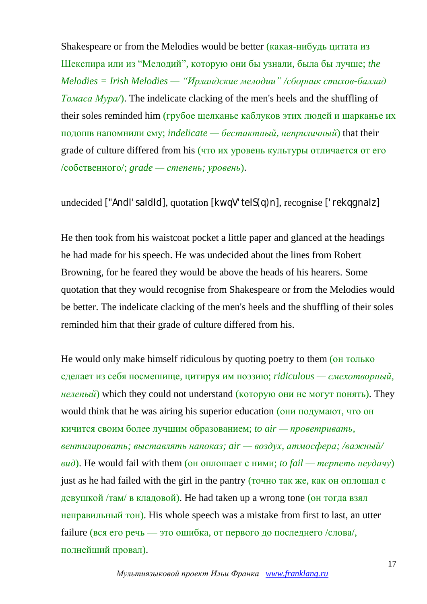Shakespeare or from the Melodies would be better (какая-нибудь цитата из Шекспира или из "Мелодий", которую они бы узнали, была бы лучше; *the Melodies = Irish Melodies — "Ирландские мелодии" /сборник стихов-баллад Томаса Мура/*). The indelicate clacking of the men's heels and the shuffling of their soles reminded him (грубое щелканье каблуков этих людей и шарканье их подошв напомнили ему; *indelicate — бестактный, неприличный*) that their grade of culture differed from his (что их уровень культуры отличается от его /собственного/; *grade — степень; уровень*).

undecided ["AndI'saIdId], quotation [kwqV'teIS(q)n], recognise ['rekqqnaIz]

He then took from his waistcoat pocket a little paper and glanced at the headings he had made for his speech. He was undecided about the lines from Robert Browning, for he feared they would be above the heads of his hearers. Some quotation that they would recognise from Shakespeare or from the Melodies would be better. The indelicate clacking of the men's heels and the shuffling of their soles reminded him that their grade of culture differed from his.

He would only make himself ridiculous by quoting poetry to them (он только сделает из себя посмешище, цитируя им поэзию; *ridiculous — смехотворный,*   $H$ елепый) which they could not understand (которую они не могут понять). They would think that he was airing his superior education (они подумают, что он кичится своим более лучшим образованием; *to air — проветривать, вентилировать; выставлять напоказ; air — воздух, атмосфера; /важный/ вид*). He would fail with them (он оплошает с ними; *to fail — терпеть неудачу*) just as he had failed with the girl in the pantry (точно так же, как он оплошал с девушкой /там/ в кладовой). He had taken up a wrong tone (он тогда взял неправильный тон). His whole speech was a mistake from first to last, an utter failure (вся его речь — это ошибка, от первого до последнего /слова/, полнейший провал).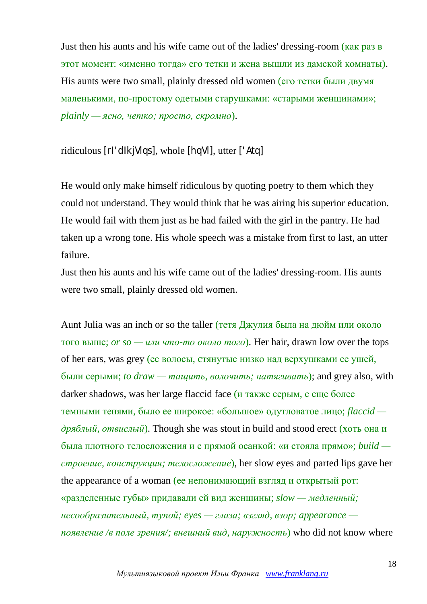Just then his aunts and his wife came out of the ladies' dressing-room (как раз в этот момент: «именно тогда» его тетки и жена вышли из дамской комнаты). His aunts were two small, plainly dressed old women (его тетки были двумя маленькими, по-простому одетыми старушками: «старыми женщинами»; *plainly — ясно, четко; просто, скромно*).

ridiculous [rI'dIkjVlqs], whole [hqVl], utter ['Atq]

He would only make himself ridiculous by quoting poetry to them which they could not understand. They would think that he was airing his superior education. He would fail with them just as he had failed with the girl in the pantry. He had taken up a wrong tone. His whole speech was a mistake from first to last, an utter failure.

Just then his aunts and his wife came out of the ladies' dressing-room. His aunts were two small, plainly dressed old women.

Aunt Julia was an inch or so the taller (тетя Джулия была на дюйм или около того выше; *or so — или что-то около того*). Her hair, drawn low over the tops of her ears, was grey (ее волосы, cтянутые низко над верхушками ее ушей, были серыми; *to draw — тащить, волочить; натягивать*); and grey also, with darker shadows, was her large flaccid face (и также серым, с еще более темными тенями, было ее широкое: «большое» одутловатое лицо; *flaccid дряблый, отвислый*). Though she was stout in build and stood erect (хоть она и была плотного телосложения и с прямой осанкой: «и стояла прямо»; *build строение, конструкция; телосложение*), her slow eyes and parted lips gave her the appearance of a woman (ее непонимающий взгляд и открытый рот: «разделенные губы» придавали ей вид женщины; *slow — медленный; несообразительный, тупой; eyes — глаза; взгляд, взор; appearance появление /в поле зрения/; внешний вид, наружность*) who did not know where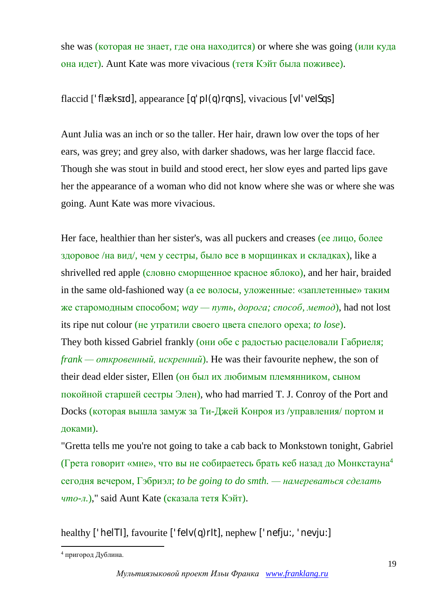she was (которая не знает, где она находится) or where she was going (или куда она идет). Aunt Kate was more vivacious (тетя Кэйт была поживее).

flaccid ['flæksɪd], appearance [q'pI(q)rqns], vivacious [vI'veISqs]

Aunt Julia was an inch or so the taller. Her hair, drawn low over the tops of her ears, was grey; and grey also, with darker shadows, was her large flaccid face. Though she was stout in build and stood erect, her slow eyes and parted lips gave her the appearance of a woman who did not know where she was or where she was going. Aunt Kate was more vivacious.

Her face, healthier than her sister's, was all puckers and creases (ее лицо, более здоровое /на вид/, чем у сестры, было все в морщинках и складках), like a shrivelled red apple (словно сморщенное красное яблоко), and her hair, braided in the same old-fashioned way (а ее волосы, уложенные: «заплетенные» таким же старомодным способом; *way — путь, дорога; способ, метод*), had not lost its ripe nut colour (не утратили своего цвета спелого ореха; *to lose*). They both kissed Gabriel frankly (они обе с радостью расцеловали Габриеля; *frank — откровенный, искренний*). He was their favourite nephew, the son of their dead elder sister, Ellen (он был их любимым племянником, сыном покойной старшей сестры Элен), who had married T. J. Conroy of the Port and Docks (которая вышла замуж за Ти-Джей Конроя из /управления/ портом и доками).

"Gretta tells me you're not going to take a cab back to Monkstown tonight, Gabriel (Грета говорит «мне», что вы не собираетесь брать кеб назад до Монкстауна<sup>4</sup> сегодня вечером, Гэбриэл; *to be going to do smth. — намереваться сделать что-л.*)," said Aunt Kate (сказала тетя Кэйт).

healthy ['helTI], favourite ['felv(q)rIt], nephew ['nefju:, 'nevju:]

<sup>1</sup> <sup>4</sup> пригород Дублина.